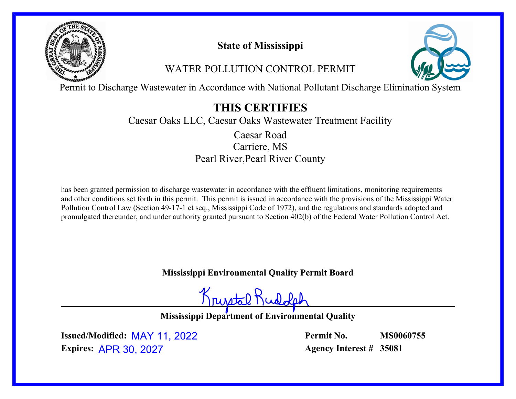

# **State of Mississippi**

# WATER POLLUTION CONTROL PERMIT



Permit to Discharge Wastewater in Accordance with National Pollutant Discharge Elimination System

# **THIS CERTIFIES**

Caesar Oaks LLC, Caesar Oaks Wastewater Treatment Facility

Carriere, MS Pearl River,Pearl River County Caesar Road

has been granted permission to discharge wastewater in accordance with the effluent limitations, monitoring requirements and other conditions set forth in this permit. This permit is issued in accordance with the provisions of the Mississippi Water Pollution Control Law (Section 49-17-1 et seq., Mississippi Code of 1972), and the regulations and standards adopted and promulgated thereunder, and under authority granted pursuant to Section 402(b) of the Federal Water Pollution Control Act.

**Mississippi Environmental Quality Permit Board**

Krusstal Kud

**Mississippi Department of Environmental Quality**

**Issued/Modified:** MAY 11, 2022 **Expires:** APR 30, 2027

**Permit No. Agency Interest # 35081 MS0060755**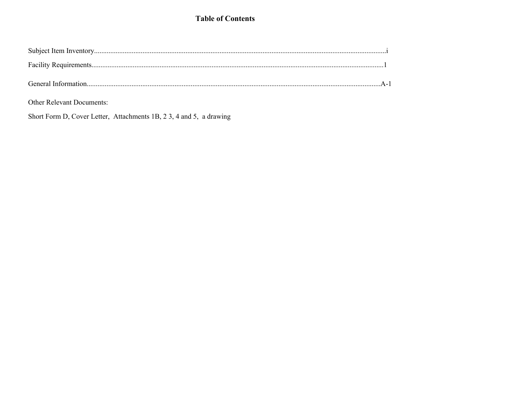# **Table of Contents**

| General Information |  |
|---------------------|--|

Other Relevant Documents:

Short Form D, Cover Letter, Attachments 1B, 23, 4 and 5, a drawing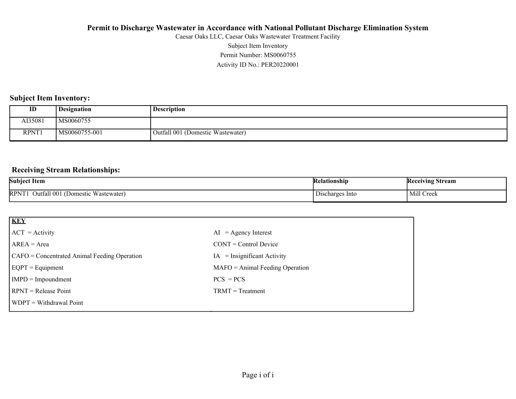Activity ID No.: PER20220001 Permit Number: MS0060755 Subject Item Inventory Caesar Oaks LLC, Caesar Oaks Wastewater Treatment Facility

#### **Subject Item Inventory:**

| ID           | <b>Designation</b> | <b>Description</b>                |
|--------------|--------------------|-----------------------------------|
| AI35081      | MS0060755          |                                   |
| <b>RPNT1</b> | MS0060755-001      | Outfall 001 (Domestic Wastewater) |

#### **Receiving Stream Relationships:**

| Subjec<br>"tem                                                                                                 | Kel.<br>latıonshın                      | <b>Receiving</b><br>Stream |
|----------------------------------------------------------------------------------------------------------------|-----------------------------------------|----------------------------|
| $RPN$ <sup><math>\tau</math></sup><br><b>TTT</b><br>. 00<br>Juttall<br>rtewater)<br>Jomer<br>:stic<br>siewaiel | -Into<br>"scharge"<br>D <sub>1</sub> S' | Mill (<br>Cre <sub>b</sub> |

| <b>KEY</b>                                   |                                   |
|----------------------------------------------|-----------------------------------|
| $ ACT = Activity$                            | $AI = Agency Interest$            |
| $AREA = Area$                                | $CONT = Control$ Device           |
| CAFO = Concentrated Animal Feeding Operation | $IA = Insignificant Activity$     |
| $EQPT = Equipment$                           | $MAFO = Animal Feeding Operation$ |
| $IMPD = Important$                           | $PCS = PCs$                       |
| <b>RPNT</b> = Release Point                  | $TRMT = Treatment$                |
| <b>WDPT</b> = Withdrawal Point               |                                   |
|                                              |                                   |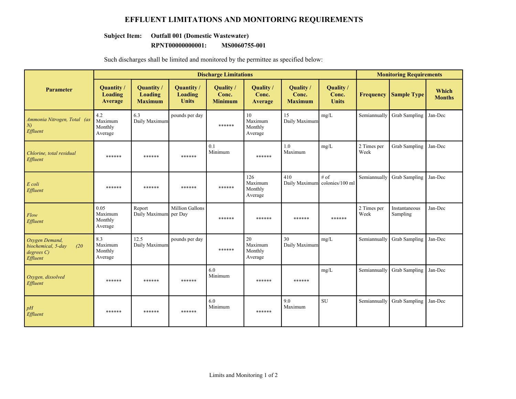### **EFFLUENT LIMITATIONS AND MONITORING REQUIREMENTS**

#### **Subject Item: Outfall 001 (Domestic Wastewater)**

#### **RPNT00000000001: MS0060755-001**

Such discharges shall be limited and monitored by the permittee as specified below:

|                                                                     | <b>Discharge Limitations</b>            |                                                |                                            |                                      |                                      |                                      |                                       | <b>Monitoring Requirements</b> |                           |                        |  |
|---------------------------------------------------------------------|-----------------------------------------|------------------------------------------------|--------------------------------------------|--------------------------------------|--------------------------------------|--------------------------------------|---------------------------------------|--------------------------------|---------------------------|------------------------|--|
| <b>Parameter</b>                                                    | Quantity /<br><b>Loading</b><br>Average | <b>Quantity</b> /<br>Loading<br><b>Maximum</b> | <b>Quantity</b><br>Loading<br><b>Units</b> | Quality /<br>Conc.<br><b>Minimum</b> | Quality /<br>Conc.<br>Average        | Quality /<br>Conc.<br><b>Maximum</b> | Quality /<br>Conc.<br><b>Units</b>    | <b>Frequency</b>               | <b>Sample Type</b>        | Which<br><b>Months</b> |  |
| Ammonia Nitrogen, Total (as<br>N<br>Effluent                        | 4.2<br>Maximum<br>Monthly<br>Average    | 6.3<br>Daily Maximum                           | pounds per day                             | ******                               | 10<br>Maximum<br>Monthly<br>Average  | 15<br>Daily Maximum                  | mg/L                                  | Semiannually                   | Grab Sampling             | Jan-Dec                |  |
| Chlorine, total residual<br>Effluent                                | ******                                  | ******                                         | ******                                     | 0.1<br>Minimum                       | ******                               | $1.0\,$<br>Maximum                   | mg/L                                  | 2 Times per<br>Week            | <b>Grab Sampling</b>      | Jan-Dec                |  |
| E coli<br>Effluent                                                  | ******                                  | ******                                         | ******                                     | ******                               | 126<br>Maximum<br>Monthly<br>Average | 410                                  | # of<br>Daily Maximum colonies/100 ml | Semiannually                   | <b>Grab Sampling</b>      | Jan-Dec                |  |
| Flow<br>Effluent                                                    | 0.05<br>Maximum<br>Monthly<br>Average   | Report<br>Daily Maximum per Day                | <b>Million Gallons</b>                     | ******                               | ******                               | ******                               | ******                                | 2 Times per<br>Week            | Instantaneous<br>Sampling | Jan-Dec                |  |
| Oxygen Demand,<br>biochemical, 5-day<br>(20)<br>degreeC<br>Effluent | 8.3<br>Maximum<br>Monthly<br>Average    | 12.5<br>Daily Maximum                          | pounds per day                             | ******                               | 20<br>Maximum<br>Monthly<br>Average  | 30<br>Daily Maximum                  | mg/L                                  | Semiannually                   | <b>Grab Sampling</b>      | Jan-Dec                |  |
| Oxygen, dissolved<br>Effluent                                       | ******                                  | ******                                         | ******                                     | 6.0<br>Minimum                       | ******                               | ******                               | mg/L                                  | Semiannually                   | <b>Grab Sampling</b>      | Jan-Dec                |  |
| pH<br>Effluent                                                      | ******                                  | ******                                         | ******                                     | 6.0<br>Minimum                       | ******                               | 9.0<br>Maximum                       | <b>SU</b>                             | Semiannually                   | <b>Grab Sampling</b>      | Jan-Dec                |  |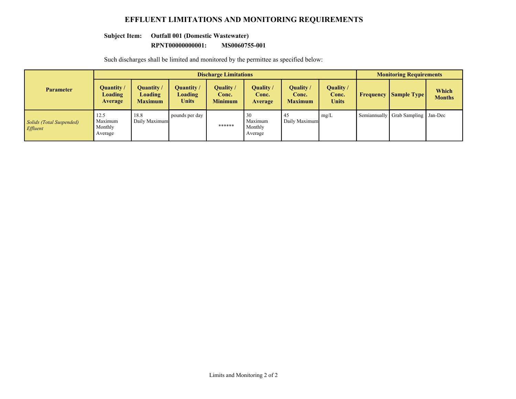### **EFFLUENT LIMITATIONS AND MONITORING REQUIREMENTS**

#### **Subject Item: Outfall 001 (Domestic Wastewater)**

#### **RPNT00000000001: MS0060755-001**

Such discharges shall be limited and monitored by the permittee as specified below:

|                                      | <b>Discharge Limitations</b>           |                                         |                                       |                                      |                                     |                                      |                                    | <b>Monitoring Requirements</b> |                                      |                               |
|--------------------------------------|----------------------------------------|-----------------------------------------|---------------------------------------|--------------------------------------|-------------------------------------|--------------------------------------|------------------------------------|--------------------------------|--------------------------------------|-------------------------------|
| <b>Parameter</b>                     | Quantity/<br><b>Loading</b><br>Average | Quantity /<br>Loading<br><b>Maximum</b> | Quantity /<br>Loading<br><b>Units</b> | Quality /<br>Conc.<br><b>Minimum</b> | Quality /<br>Conc.<br>Average       | Quality /<br>Conc.<br><b>Maximum</b> | Quality /<br>Conc.<br><b>Units</b> | Frequency                      | <b>Sample Type</b>                   | <b>Which</b><br><b>Months</b> |
| Solids (Total Suspended)<br>Effluent | 12.5<br>Maximum<br>Monthly<br>Average  | 18.8<br>Daily Maximum                   | pounds per day                        | ******                               | 30<br>Maximum<br>Monthly<br>Average | 45<br>Daily Maximum                  | mg/L                               |                                | Semiannually Grab Sampling   Jan-Dec |                               |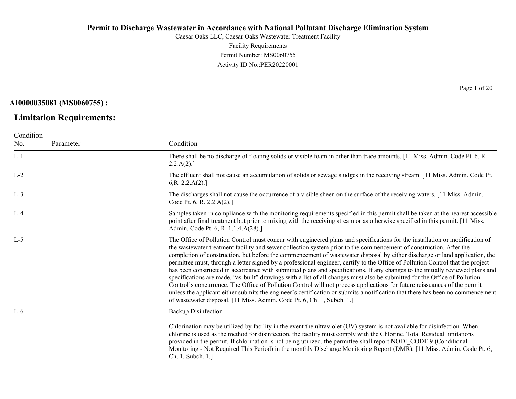Caesar Oaks LLC, Caesar Oaks Wastewater Treatment Facility Facility Requirements Permit Number: MS0060755 Activity ID No.:PER20220001

**AI0000035081 (MS0060755) :**

### **Limitation Requirements:**

Condition No. Parameter Condition L-1 There shall be no discharge of floating solids or visible foam in other than trace amounts. [11 Miss. Admin. Code Pt. 6, R.  $2.2.A(2).$ ] L-2 The effluent shall not cause an accumulation of solids or sewage sludges in the receiving stream. [11 Miss. Admin. Code Pt. 6,R. 2.2.A(2).] L-3 The discharges shall not cause the occurrence of a visible sheen on the surface of the receiving waters. [11 Miss. Admin. Code Pt. 6, R. 2.2.A(2).] L-4 Samples taken in compliance with the monitoring requirements specified in this permit shall be taken at the nearest accessible point after final treatment but prior to mixing with the receiving stream or as otherwise specified in this permit. [11 Miss. Admin. Code Pt. 6, R. 1.1.4.A(28).] L-5 The Office of Pollution Control must concur with engineered plans and specifications for the installation or modification of the wastewater treatment facility and sewer collection system prior to the commencement of construction. After the completion of construction, but before the commencement of wastewater disposal by either discharge or land application, the permittee must, through a letter signed by a professional engineer, certify to the Office of Pollution Control that the project has been constructed in accordance with submitted plans and specifications. If any changes to the initially reviewed plans and specifications are made, "as-built" drawings with a list of all changes must also be submitted for the Office of Pollution Control's concurrence. The Office of Pollution Control will not process applications for future reissuances of the permit unless the applicant either submits the engineer's certification or submits a notification that there has been no commencement of wastewater disposal. [11 Miss. Admin. Code Pt. 6, Ch. 1, Subch. 1.] L-6 Backup Disinfection Chlorination may be utilized by facility in the event the ultraviolet (UV) system is not available for disinfection. When chlorine is used as the method for disinfection, the facility must comply with the Chlorine, Total Residual limitations provided in the permit. If chlorination is not being utilized, the permittee shall report NODI\_CODE 9 (Conditional Monitoring - Not Required This Period) in the monthly Discharge Monitoring Report (DMR). [11 Miss. Admin. Code Pt. 6, Ch. 1, Subch. 1.]

Page 1 of 20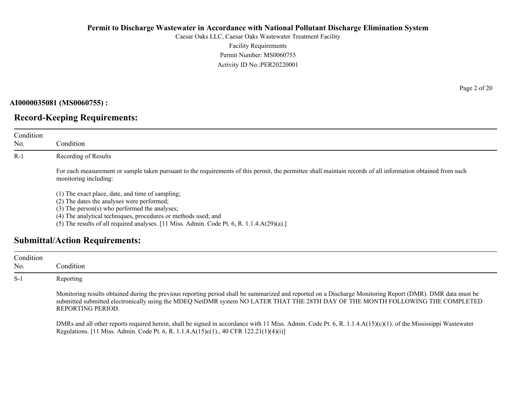Caesar Oaks LLC, Caesar Oaks Wastewater Treatment Facility Facility Requirements Permit Number: MS0060755 Activity ID No.:PER20220001

**AI0000035081 (MS0060755) :**

# **Record-Keeping Requirements:**

| Condition<br>No. | Condition                                                                                                                                                                                                                                                                                                            |
|------------------|----------------------------------------------------------------------------------------------------------------------------------------------------------------------------------------------------------------------------------------------------------------------------------------------------------------------|
| $R-1$            | Recording of Results                                                                                                                                                                                                                                                                                                 |
|                  | For each measurement or sample taken pursuant to the requirements of this permit, the permittee shall maintain records of all information obtained from such<br>monitoring including:                                                                                                                                |
|                  | (1) The exact place, date, and time of sampling;<br>(2) The dates the analyses were performed;<br>$(3)$ The person $(s)$ who performed the analyses;<br>(4) The analytical techniques, procedures or methods used; and<br>(5) The results of all required analyses. [11 Miss. Admin. Code Pt. 6, R. 1.1.4.A(29)(a).] |

# **Submittal/Action Requirements:**

| Condition<br>No. | Condition                                                                                                                                                                                                                                                                                                          |
|------------------|--------------------------------------------------------------------------------------------------------------------------------------------------------------------------------------------------------------------------------------------------------------------------------------------------------------------|
| $S-1$            | Reporting                                                                                                                                                                                                                                                                                                          |
|                  | Monitoring results obtained during the previous reporting period shall be summarized and reported on a Discharge Monitoring Report (DMR). DMR data must be<br>submitted submitted electronically using the MDEQ NetDMR system NO LATER THAT THE 28TH DAY OF THE MONTH FOLLOWING THE COMPLETED<br>REPORTING PERIOD. |
|                  | DMRs and all other reports required herein, shall be signed in accordance with 11 Miss. Admin. Code Pt. 6, R. 1.1.4. $A(15)(c)(1)$ . of the Mississippi Wastewater<br>Regulations. [11 Miss. Admin. Code Pt. 6, R. 1.1.4.A(15)c(1)., 40 CFR 122.21(1)(4)(i)]                                                       |

Page 2 of 20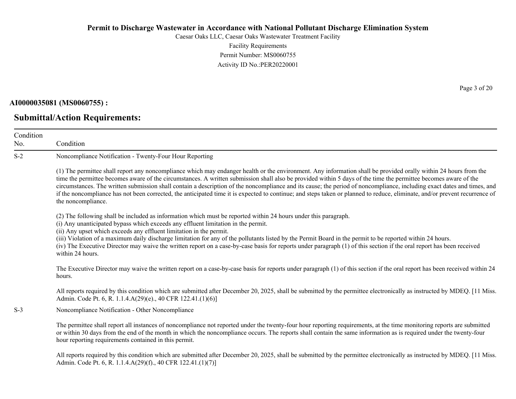Caesar Oaks LLC, Caesar Oaks Wastewater Treatment Facility Facility Requirements Permit Number: MS0060755 Activity ID No.:PER20220001

**AI0000035081 (MS0060755) :**

**Submittal/Action Requirements:**

Condition No. Condition S-2 Noncompliance Notification - Twenty-Four Hour Reporting (1) The permittee shall report any noncompliance which may endanger health or the environment. Any information shall be provided orally within 24 hours from the time the permittee becomes aware of the circumstances. A written submission shall also be provided within 5 days of the time the permittee becomes aware of the circumstances. The written submission shall contain a description of the noncompliance and its cause; the period of noncompliance, including exact dates and times, and if the noncompliance has not been corrected, the anticipated time it is expected to continue; and steps taken or planned to reduce, eliminate, and/or prevent recurrence of the noncompliance. (2) The following shall be included as information which must be reported within 24 hours under this paragraph. (i) Any unanticipated bypass which exceeds any effluent limitation in the permit. (ii) Any upset which exceeds any effluent limitation in the permit. (iii) Violation of a maximum daily discharge limitation for any of the pollutants listed by the Permit Board in the permit to be reported within 24 hours. (iv) The Executive Director may waive the written report on a case-by-case basis for reports under paragraph (1) of this section if the oral report has been received within 24 hours. The Executive Director may waive the written report on a case-by-case basis for reports under paragraph (1) of this section if the oral report has been received within 24 hours. All reports required by this condition which are submitted after December 20, 2025, shall be submitted by the permittee electronically as instructed by MDEQ. [11 Miss.] Admin. Code Pt. 6, R. 1.1.4.A(29)(e)., 40 CFR 122.41.(1)(6)] S-3 Noncompliance Notification - Other Noncompliance The permittee shall report all instances of noncompliance not reported under the twenty-four hour reporting requirements, at the time monitoring reports are submitted or within 30 days from the end of the month in which the noncompliance occurs. The reports shall contain the same information as is required under the twenty-four hour reporting requirements contained in this permit. All reports required by this condition which are submitted after December 20, 2025, shall be submitted by the permittee electronically as instructed by MDEQ. [11 Miss.] Admin. Code Pt. 6, R. 1.1.4.A(29)(f)., 40 CFR 122.41.(1)(7)]

Page 3 of 20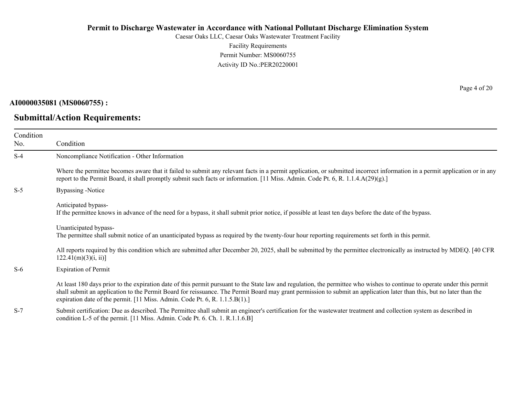Caesar Oaks LLC, Caesar Oaks Wastewater Treatment Facility Facility Requirements Permit Number: MS0060755 Activity ID No.:PER20220001

**AI0000035081 (MS0060755) :**

# **Submittal/Action Requirements:**

Page 4 of 20

| Condition<br>No. | Condition                                                                                                                                                                                                                                                                                                                                                                                                                         |
|------------------|-----------------------------------------------------------------------------------------------------------------------------------------------------------------------------------------------------------------------------------------------------------------------------------------------------------------------------------------------------------------------------------------------------------------------------------|
| $S-4$            | Noncompliance Notification - Other Information                                                                                                                                                                                                                                                                                                                                                                                    |
|                  | Where the permittee becomes aware that it failed to submit any relevant facts in a permit application, or submitted incorrect information in a permit application or in any<br>report to the Permit Board, it shall promptly submit such facts or information. [11 Miss. Admin. Code Pt. 6, R. 1.1.4.A(29)(g).]                                                                                                                   |
| $S-5$            | Bypassing -Notice                                                                                                                                                                                                                                                                                                                                                                                                                 |
|                  | Anticipated bypass-<br>If the permittee knows in advance of the need for a bypass, it shall submit prior notice, if possible at least ten days before the date of the bypass.                                                                                                                                                                                                                                                     |
|                  | Unanticipated bypass-<br>The permittee shall submit notice of an unanticipated bypass as required by the twenty-four hour reporting requirements set forth in this permit.                                                                                                                                                                                                                                                        |
|                  | All reports required by this condition which are submitted after December 20, 2025, shall be submitted by the permittee electronically as instructed by MDEQ. [40 CFR<br>122.41(m)(3)(i, ii)                                                                                                                                                                                                                                      |
| $S-6$            | <b>Expiration of Permit</b>                                                                                                                                                                                                                                                                                                                                                                                                       |
|                  | At least 180 days prior to the expiration date of this permit pursuant to the State law and regulation, the permittee who wishes to continue to operate under this permit<br>shall submit an application to the Permit Board for reissuance. The Permit Board may grant permission to submit an application later than this, but no later than the<br>expiration date of the permit. [11 Miss. Admin. Code Pt. 6, R. 1.1.5.B(1).] |
| $S-7$            | Submit certification: Due as described. The Permittee shall submit an engineer's certification for the wastewater treatment and collection system as described in<br>condition L-5 of the permit. [11 Miss. Admin. Code Pt. 6. Ch. 1. R.1.1.6.B]                                                                                                                                                                                  |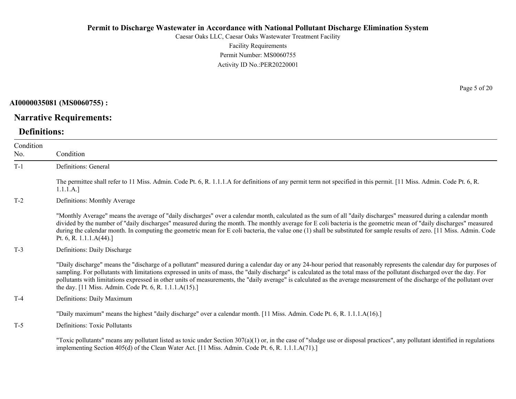Caesar Oaks LLC, Caesar Oaks Wastewater Treatment Facility Facility Requirements Permit Number: MS0060755 Activity ID No.:PER20220001

**AI0000035081 (MS0060755) :**

# **Narrative Requirements:**

# **Definitions:**

| Condition<br>No. | Condition                                                                                                                                                                                                                                                                                                                                                                                                                                                                                                                                                                                   |
|------------------|---------------------------------------------------------------------------------------------------------------------------------------------------------------------------------------------------------------------------------------------------------------------------------------------------------------------------------------------------------------------------------------------------------------------------------------------------------------------------------------------------------------------------------------------------------------------------------------------|
| $T-1$            | Definitions: General                                                                                                                                                                                                                                                                                                                                                                                                                                                                                                                                                                        |
|                  | The permittee shall refer to 11 Miss. Admin. Code Pt. 6, R. 1.1.1.A for definitions of any permit term not specified in this permit. [11 Miss. Admin. Code Pt. 6, R.<br>1.1.1.A.]                                                                                                                                                                                                                                                                                                                                                                                                           |
| $T-2$            | Definitions: Monthly Average                                                                                                                                                                                                                                                                                                                                                                                                                                                                                                                                                                |
|                  | "Monthly Average" means the average of "daily discharges" over a calendar month, calculated as the sum of all "daily discharges" measured during a calendar month<br>divided by the number of "daily discharges" measured during the month. The monthly average for E coli bacteria is the geometric mean of "daily discharges" measured<br>during the calendar month. In computing the geometric mean for E coli bacteria, the value one (1) shall be substituted for sample results of zero. [11 Miss. Admin. Code<br>Pt. 6, R. 1.1.1. $A(44).$                                           |
| $T-3$            | Definitions: Daily Discharge                                                                                                                                                                                                                                                                                                                                                                                                                                                                                                                                                                |
|                  | "Daily discharge" means the "discharge of a pollutant" measured during a calendar day or any 24-hour period that reasonably represents the calendar day for purposes of<br>sampling. For pollutants with limitations expressed in units of mass, the "daily discharge" is calculated as the total mass of the pollutant discharged over the day. For<br>pollutants with limitations expressed in other units of measurements, the "daily average" is calculated as the average measurement of the discharge of the pollutant over<br>the day. [11 Miss. Admin. Code Pt. 6, R. 1.1.1.A(15).] |
| $T-4$            | Definitions: Daily Maximum                                                                                                                                                                                                                                                                                                                                                                                                                                                                                                                                                                  |
|                  | "Daily maximum" means the highest "daily discharge" over a calendar month. [11 Miss. Admin. Code Pt. 6, R. 1.1.1.A(16).]                                                                                                                                                                                                                                                                                                                                                                                                                                                                    |
| $T-5$            | <b>Definitions: Toxic Pollutants</b>                                                                                                                                                                                                                                                                                                                                                                                                                                                                                                                                                        |
|                  | "Toxic pollutants" means any pollutant listed as toxic under Section $307(a)(1)$ or, in the case of "sludge use or disposal practices", any pollutant identified in regulations<br>implementing Section 405(d) of the Clean Water Act. [11 Miss. Admin. Code Pt. 6, R. 1.1.1.A(71).]                                                                                                                                                                                                                                                                                                        |

Page 5 of 20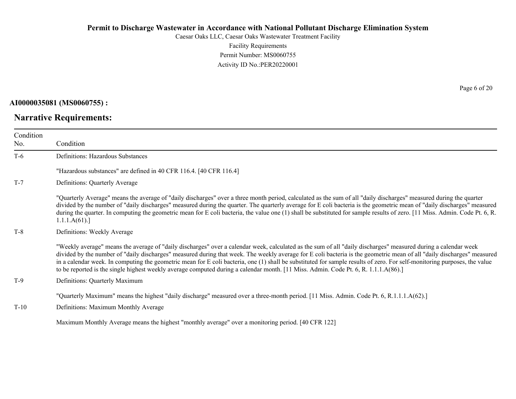Caesar Oaks LLC, Caesar Oaks Wastewater Treatment Facility Facility Requirements Permit Number: MS0060755 Activity ID No.:PER20220001

**AI0000035081 (MS0060755) :**

# **Narrative Requirements:**

Page 6 of 20

| Condition<br>No. | Condition                                                                                                                                                                                                                                                                                                                                                                                                                                                                                                                                                                                                                                                    |
|------------------|--------------------------------------------------------------------------------------------------------------------------------------------------------------------------------------------------------------------------------------------------------------------------------------------------------------------------------------------------------------------------------------------------------------------------------------------------------------------------------------------------------------------------------------------------------------------------------------------------------------------------------------------------------------|
| $T-6$            | Definitions: Hazardous Substances                                                                                                                                                                                                                                                                                                                                                                                                                                                                                                                                                                                                                            |
|                  | "Hazardous substances" are defined in 40 CFR 116.4. [40 CFR 116.4]                                                                                                                                                                                                                                                                                                                                                                                                                                                                                                                                                                                           |
| $T-7$            | Definitions: Quarterly Average                                                                                                                                                                                                                                                                                                                                                                                                                                                                                                                                                                                                                               |
|                  | "Quarterly Average" means the average of "daily discharges" over a three month period, calculated as the sum of all "daily discharges" measured during the quarter<br>divided by the number of "daily discharges" measured during the quarter. The quarterly average for E coli bacteria is the geometric mean of "daily discharges" measured<br>during the quarter. In computing the geometric mean for E coli bacteria, the value one (1) shall be substituted for sample results of zero. [11 Miss. Admin. Code Pt. 6, R.<br>1.1.1.A(61).                                                                                                                 |
| $T-8$            | Definitions: Weekly Average                                                                                                                                                                                                                                                                                                                                                                                                                                                                                                                                                                                                                                  |
|                  | "Weekly average" means the average of "daily discharges" over a calendar week, calculated as the sum of all "daily discharges" measured during a calendar week<br>divided by the number of "daily discharges" measured during that week. The weekly average for E coli bacteria is the geometric mean of all "daily discharges" measured<br>in a calendar week. In computing the geometric mean for E coli bacteria, one (1) shall be substituted for sample results of zero. For self-monitoring purposes, the value<br>to be reported is the single highest weekly average computed during a calendar month. [11 Miss. Admin. Code Pt. 6, R. 1.1.1.A(86).] |
| $T-9$            | Definitions: Quarterly Maximum                                                                                                                                                                                                                                                                                                                                                                                                                                                                                                                                                                                                                               |
|                  | "Quarterly Maximum" means the highest "daily discharge" measured over a three-month period. [11 Miss. Admin. Code Pt. 6, R.1.1.1.A(62).]                                                                                                                                                                                                                                                                                                                                                                                                                                                                                                                     |
| $T-10$           | Definitions: Maximum Monthly Average                                                                                                                                                                                                                                                                                                                                                                                                                                                                                                                                                                                                                         |
|                  | Maximum Monthly Average means the highest "monthly average" over a monitoring period. [40 CFR 122]                                                                                                                                                                                                                                                                                                                                                                                                                                                                                                                                                           |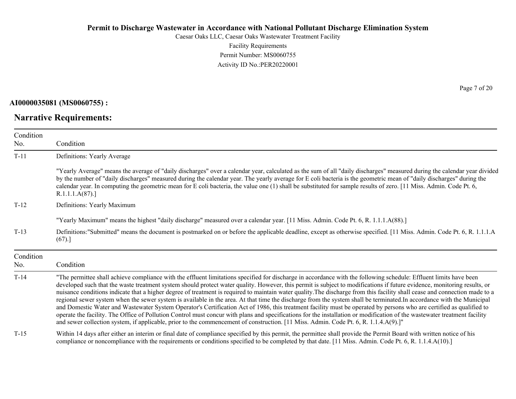Caesar Oaks LLC, Caesar Oaks Wastewater Treatment Facility Facility Requirements Permit Number: MS0060755 Activity ID No.:PER20220001

**AI0000035081 (MS0060755) :**

**Narrative Requirements:**

Page 7 of 20

| Condition<br>No. | Condition                                                                                                                                                                                                                                                                                                                                                                                                                                                                                                                                                                                                                                                                                                                                                                                                                                                                                                                                                                                                                                                                                                                                                                                            |
|------------------|------------------------------------------------------------------------------------------------------------------------------------------------------------------------------------------------------------------------------------------------------------------------------------------------------------------------------------------------------------------------------------------------------------------------------------------------------------------------------------------------------------------------------------------------------------------------------------------------------------------------------------------------------------------------------------------------------------------------------------------------------------------------------------------------------------------------------------------------------------------------------------------------------------------------------------------------------------------------------------------------------------------------------------------------------------------------------------------------------------------------------------------------------------------------------------------------------|
| $T-11$           | Definitions: Yearly Average                                                                                                                                                                                                                                                                                                                                                                                                                                                                                                                                                                                                                                                                                                                                                                                                                                                                                                                                                                                                                                                                                                                                                                          |
|                  | "Yearly Average" means the average of "daily discharges" over a calendar year, calculated as the sum of all "daily discharges" measured during the calendar year divided<br>by the number of "daily discharges" measured during the calendar year. The yearly average for E coli bacteria is the geometric mean of "daily discharges" during the<br>calendar year. In computing the geometric mean for E coli bacteria, the value one (1) shall be substituted for sample results of zero. [11 Miss. Admin. Code Pt. 6,<br>R.1.1.1.A(87).                                                                                                                                                                                                                                                                                                                                                                                                                                                                                                                                                                                                                                                            |
| $T-12$           | Definitions: Yearly Maximum                                                                                                                                                                                                                                                                                                                                                                                                                                                                                                                                                                                                                                                                                                                                                                                                                                                                                                                                                                                                                                                                                                                                                                          |
|                  | "Yearly Maximum" means the highest "daily discharge" measured over a calendar year. [11 Miss. Admin. Code Pt. 6, R. 1.1.1.A(88).]                                                                                                                                                                                                                                                                                                                                                                                                                                                                                                                                                                                                                                                                                                                                                                                                                                                                                                                                                                                                                                                                    |
| $T-13$           | Definitions:"Submitted" means the document is postmarked on or before the applicable deadline, except as otherwise specified. [11 Miss. Admin. Code Pt. 6, R. 1.1.1.A<br>(67).                                                                                                                                                                                                                                                                                                                                                                                                                                                                                                                                                                                                                                                                                                                                                                                                                                                                                                                                                                                                                       |
| Condition<br>No. | Condition                                                                                                                                                                                                                                                                                                                                                                                                                                                                                                                                                                                                                                                                                                                                                                                                                                                                                                                                                                                                                                                                                                                                                                                            |
| $T-14$           | "The permittee shall achieve compliance with the effluent limitations specified for discharge in accordance with the following schedule: Effluent limits have been<br>developed such that the waste treatment system should protect water quality. However, this permit is subject to modifications if future evidence, monitoring results, or<br>nuisance conditions indicate that a higher degree of treatment is required to maintain water quality. The discharge from this facility shall cease and connection made to a<br>regional sewer system when the sewer system is available in the area. At that time the discharge from the system shall be terminated. In accordance with the Municipal<br>and Domestic Water and Wastewater System Operator's Certification Act of 1986, this treatment facility must be operated by persons who are certified as qualified to<br>operate the facility. The Office of Pollution Control must concur with plans and specifications for the installation or modification of the wastewater treatment facility<br>and sewer collection system, if applicable, prior to the commencement of construction. [11 Miss. Admin. Code Pt. 6, R. 1.1.4.A(9).]" |
| $T-15$           | Within 14 days after either an interim or final date of compliance specified by this permit, the permittee shall provide the Permit Board with written notice of his<br>compliance or noncompliance with the requirements or conditions specified to be completed by that date. [11 Miss. Admin. Code Pt. 6, R. 1.1.4.A(10).]                                                                                                                                                                                                                                                                                                                                                                                                                                                                                                                                                                                                                                                                                                                                                                                                                                                                        |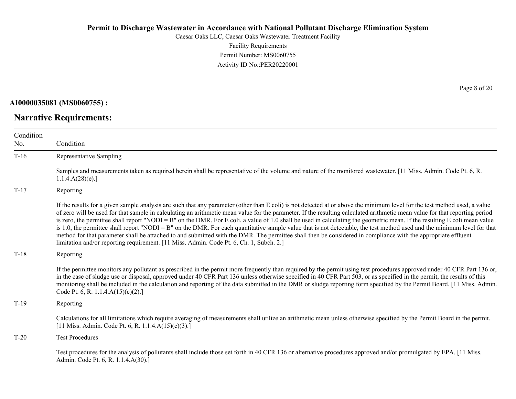Caesar Oaks LLC, Caesar Oaks Wastewater Treatment Facility Facility Requirements Permit Number: MS0060755 Activity ID No.:PER20220001

**AI0000035081 (MS0060755) :**

**Narrative Requirements:**

| Condition<br>No. | Condition                                                                                                                                                                                                                                                                                                                                                                                                                                                                                                                                                                                                                                                                                                                                                                                                                                                                                                                                                                      |
|------------------|--------------------------------------------------------------------------------------------------------------------------------------------------------------------------------------------------------------------------------------------------------------------------------------------------------------------------------------------------------------------------------------------------------------------------------------------------------------------------------------------------------------------------------------------------------------------------------------------------------------------------------------------------------------------------------------------------------------------------------------------------------------------------------------------------------------------------------------------------------------------------------------------------------------------------------------------------------------------------------|
| $T-16$           | Representative Sampling                                                                                                                                                                                                                                                                                                                                                                                                                                                                                                                                                                                                                                                                                                                                                                                                                                                                                                                                                        |
|                  | Samples and measurements taken as required herein shall be representative of the volume and nature of the monitored wastewater. [11 Miss. Admin. Code Pt. 6, R.<br>1.1.4.A(28)(e).                                                                                                                                                                                                                                                                                                                                                                                                                                                                                                                                                                                                                                                                                                                                                                                             |
| $T-17$           | Reporting                                                                                                                                                                                                                                                                                                                                                                                                                                                                                                                                                                                                                                                                                                                                                                                                                                                                                                                                                                      |
|                  | If the results for a given sample analysis are such that any parameter (other than E coli) is not detected at or above the minimum level for the test method used, a value<br>of zero will be used for that sample in calculating an arithmetic mean value for the parameter. If the resulting calculated arithmetic mean value for that reporting period<br>is zero, the permittee shall report "NODI = B" on the DMR. For E coli, a value of 1.0 shall be used in calculating the geometric mean. If the resulting E coli mean value<br>is 1.0, the permittee shall report "NODI = B" on the DMR. For each quantitative sample value that is not detectable, the test method used and the minimum level for that<br>method for that parameter shall be attached to and submitted with the DMR. The permittee shall then be considered in compliance with the appropriate effluent<br>limitation and/or reporting requirement. [11 Miss. Admin. Code Pt. 6, Ch. 1, Subch. 2.] |
| $T-18$           | Reporting                                                                                                                                                                                                                                                                                                                                                                                                                                                                                                                                                                                                                                                                                                                                                                                                                                                                                                                                                                      |
|                  | If the permittee monitors any pollutant as prescribed in the permit more frequently than required by the permit using test procedures approved under 40 CFR Part 136 or,<br>in the case of sludge use or disposal, approved under 40 CFR Part 136 unless otherwise specified in 40 CFR Part 503, or as specified in the permit, the results of this<br>monitoring shall be included in the calculation and reporting of the data submitted in the DMR or sludge reporting form specified by the Permit Board. [11 Miss. Admin.<br>Code Pt. 6, R. 1.1.4. $A(15)(c)(2)$ .]                                                                                                                                                                                                                                                                                                                                                                                                       |
| $T-19$           | Reporting                                                                                                                                                                                                                                                                                                                                                                                                                                                                                                                                                                                                                                                                                                                                                                                                                                                                                                                                                                      |
|                  | Calculations for all limitations which require averaging of measurements shall utilize an arithmetic mean unless otherwise specified by the Permit Board in the permit.<br>[11 Miss. Admin. Code Pt. 6, R. 1.1.4.A(15)(c)(3).]                                                                                                                                                                                                                                                                                                                                                                                                                                                                                                                                                                                                                                                                                                                                                 |
| $T-20$           | <b>Test Procedures</b>                                                                                                                                                                                                                                                                                                                                                                                                                                                                                                                                                                                                                                                                                                                                                                                                                                                                                                                                                         |
|                  | Test procedures for the analysis of pollutants shall include those set forth in 40 CFR 136 or alternative procedures approved and/or promulgated by EPA. [11 Miss.]<br>Admin. Code Pt. 6, R. 1.1.4.A(30).]                                                                                                                                                                                                                                                                                                                                                                                                                                                                                                                                                                                                                                                                                                                                                                     |

Page 8 of 20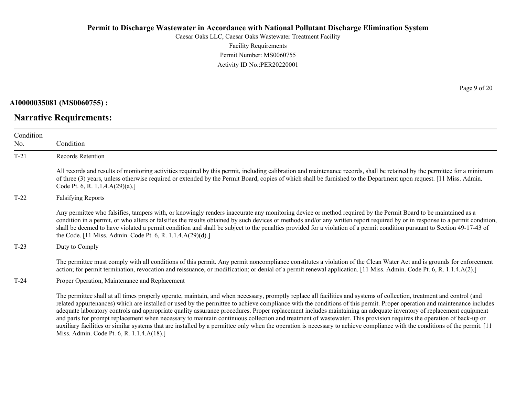Caesar Oaks LLC, Caesar Oaks Wastewater Treatment Facility Facility Requirements Permit Number: MS0060755 Activity ID No.:PER20220001

**AI0000035081 (MS0060755) :**

**Narrative Requirements:**

Page 9 of 20

| Condition<br>No. | Condition                                                                                                                                                                                                                                                                                                                                                                                                                                                                                                                                                                                                                                                                                                                                                                                                                                                                   |  |
|------------------|-----------------------------------------------------------------------------------------------------------------------------------------------------------------------------------------------------------------------------------------------------------------------------------------------------------------------------------------------------------------------------------------------------------------------------------------------------------------------------------------------------------------------------------------------------------------------------------------------------------------------------------------------------------------------------------------------------------------------------------------------------------------------------------------------------------------------------------------------------------------------------|--|
| $T-21$           | Records Retention                                                                                                                                                                                                                                                                                                                                                                                                                                                                                                                                                                                                                                                                                                                                                                                                                                                           |  |
|                  | All records and results of monitoring activities required by this permit, including calibration and maintenance records, shall be retained by the permittee for a minimum<br>of three (3) years, unless otherwise required or extended by the Permit Board, copies of which shall be furnished to the Department upon request. [11 Miss. Admin.<br>Code Pt. 6, R. 1.1.4.A(29)(a).]                                                                                                                                                                                                                                                                                                                                                                                                                                                                                          |  |
| $T-22$           | <b>Falsifying Reports</b>                                                                                                                                                                                                                                                                                                                                                                                                                                                                                                                                                                                                                                                                                                                                                                                                                                                   |  |
|                  | Any permittee who falsifies, tampers with, or knowingly renders inaccurate any monitoring device or method required by the Permit Board to be maintained as a<br>condition in a permit, or who alters or falsifies the results obtained by such devices or methods and/or any written report required by or in response to a permit condition,<br>shall be deemed to have violated a permit condition and shall be subject to the penalties provided for a violation of a permit condition pursuant to Section 49-17-43 of<br>the Code. [11 Miss. Admin. Code Pt. 6, R. 1.1.4.A(29)(d).]                                                                                                                                                                                                                                                                                    |  |
| $T-23$           | Duty to Comply                                                                                                                                                                                                                                                                                                                                                                                                                                                                                                                                                                                                                                                                                                                                                                                                                                                              |  |
|                  | The permittee must comply with all conditions of this permit. Any permit noncompliance constitutes a violation of the Clean Water Act and is grounds for enforcement<br>action; for permit termination, revocation and reissuance, or modification; or denial of a permit renewal application. [11 Miss. Admin. Code Pt. 6, R. 1.1.4.A(2).]                                                                                                                                                                                                                                                                                                                                                                                                                                                                                                                                 |  |
| $T-24$           | Proper Operation, Maintenance and Replacement                                                                                                                                                                                                                                                                                                                                                                                                                                                                                                                                                                                                                                                                                                                                                                                                                               |  |
|                  | The permittee shall at all times properly operate, maintain, and when necessary, promptly replace all facilities and systems of collection, treatment and control (and<br>related appurtenances) which are installed or used by the permittee to achieve compliance with the conditions of this permit. Proper operation and maintenance includes<br>adequate laboratory controls and appropriate quality assurance procedures. Proper replacement includes maintaining an adequate inventory of replacement equipment<br>and parts for prompt replacement when necessary to maintain continuous collection and treatment of wastewater. This provision requires the operation of back-up or<br>auxiliary facilities or similar systems that are installed by a permittee only when the operation is necessary to achieve compliance with the conditions of the permit. [11 |  |

Miss. Admin. Code Pt. 6, R. 1.1.4.A(18).]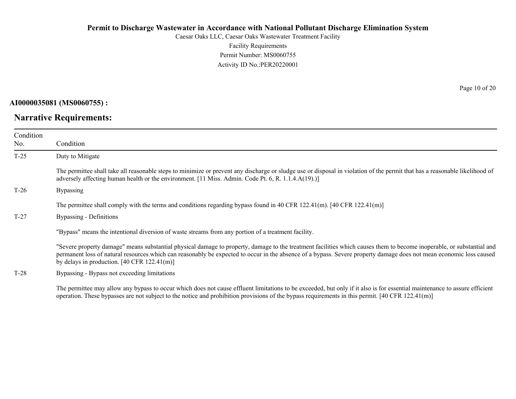Caesar Oaks LLC, Caesar Oaks Wastewater Treatment Facility Facility Requirements Permit Number: MS0060755 Activity ID No.:PER20220001

**AI0000035081 (MS0060755) :**

### **Narrative Requirements:**

Page 10 of 20

| Condition<br>No. | Condition                                                                                                                                                                                                                                                                                                                                                                                                       |  |  |
|------------------|-----------------------------------------------------------------------------------------------------------------------------------------------------------------------------------------------------------------------------------------------------------------------------------------------------------------------------------------------------------------------------------------------------------------|--|--|
| $T-25$           | Duty to Mitigate                                                                                                                                                                                                                                                                                                                                                                                                |  |  |
|                  | The permittee shall take all reasonable steps to minimize or prevent any discharge or sludge use or disposal in violation of the permit that has a reasonable likelihood of<br>adversely affecting human health or the environment. [11 Miss. Admin. Code Pt. 6, R. 1.1.4.A(19).)]                                                                                                                              |  |  |
| $T-26$           | <b>Bypassing</b>                                                                                                                                                                                                                                                                                                                                                                                                |  |  |
|                  | The permittee shall comply with the terms and conditions regarding bypass found in 40 CFR 122.41(m). [40 CFR 122.41(m)]                                                                                                                                                                                                                                                                                         |  |  |
| $T-27$           | Bypassing - Definitions                                                                                                                                                                                                                                                                                                                                                                                         |  |  |
|                  | "Bypass" means the intentional diversion of waste streams from any portion of a treatment facility.                                                                                                                                                                                                                                                                                                             |  |  |
|                  | "Severe property damage" means substantial physical damage to property, damage to the treatment facilities which causes them to become inoperable, or substantial and<br>permanent loss of natural resources which can reasonably be expected to occur in the absence of a bypass. Severe property damage does not mean economic loss caused<br>by delays in production. $[40 \text{ CFR } 122.41 \text{ (m)}]$ |  |  |
| $T-28$           | Bypassing - Bypass not exceeding limitations                                                                                                                                                                                                                                                                                                                                                                    |  |  |

The permittee may allow any bypass to occur which does not cause effluent limitations to be exceeded, but only if it also is for essential maintenance to assure efficient operation. These bypasses are not subject to the notice and prohibition provisions of the bypass requirements in this permit. [40 CFR 122.41(m)]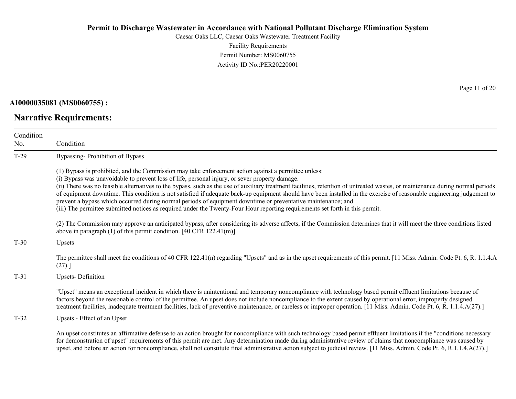Caesar Oaks LLC, Caesar Oaks Wastewater Treatment Facility Facility Requirements Permit Number: MS0060755 Activity ID No.:PER20220001

**AI0000035081 (MS0060755) :**

**Narrative Requirements:**

Condition No. Condition T-29 Bypassing- Prohibition of Bypass (1) Bypass is prohibited, and the Commission may take enforcement action against a permittee unless: (i) Bypass was unavoidable to prevent loss of life, personal injury, or sever property damage. (ii) There was no feasible alternatives to the bypass, such as the use of auxiliary treatment facilities, retention of untreated wastes, or maintenance during normal periods of equipment downtime. This condition is not satisfied if adequate back-up equipment should have been installed in the exercise of reasonable engineering judgement to prevent a bypass which occurred during normal periods of equipment downtime or preventative maintenance; and (iii) The permittee submitted notices as required under the Twenty-Four Hour reporting requirements set forth in this permit. (2) The Commission may approve an anticipated bypass, after considering its adverse affects, if the Commission determines that it will meet the three conditions listed above in paragraph (1) of this permit condition. [40 CFR 122.41(m)] T-30 Upsets The permittee shall meet the conditions of 40 CFR 122.41(n) regarding "Upsets" and as in the upset requirements of this permit. [11 Miss. Admin. Code Pt. 6, R. 1.1.4.A (27).] T-31 Upsets- Definition "Upset" means an exceptional incident in which there is unintentional and temporary noncompliance with technology based permit effluent limitations because of factors beyond the reasonable control of the permittee. An upset does not include noncompliance to the extent caused by operational error, improperly designed treatment facilities, inadequate treatment facilities, lack of preventive maintenance, or careless or improper operation. [11 Miss. Admin. Code Pt. 6, R. 1.1.4.A(27).] T-32 Upsets - Effect of an Upset An upset constitutes an affirmative defense to an action brought for noncompliance with such technology based permit effluent limitations if the "conditions necessary for demonstration of upset" requirements of this permit are met. Any determination made during administrative review of claims that noncompliance was caused by upset, and before an action for noncompliance, shall not constitute final administrative action subject to judicial review. [11 Miss. Admin. Code Pt. 6, R.1.1.4.A(27).]

Page 11 of 20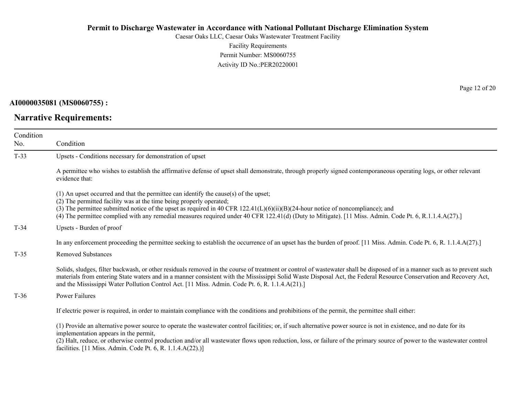Caesar Oaks LLC, Caesar Oaks Wastewater Treatment Facility Facility Requirements Permit Number: MS0060755 Activity ID No.:PER20220001

**AI0000035081 (MS0060755) :**

# **Narrative Requirements:**

Page 12 of 20

| Condition<br>No. | Condition                                                                                                                                                                                                                                                                                                                                                                                                                                                  |  |  |
|------------------|------------------------------------------------------------------------------------------------------------------------------------------------------------------------------------------------------------------------------------------------------------------------------------------------------------------------------------------------------------------------------------------------------------------------------------------------------------|--|--|
| $T-33$           | Upsets - Conditions necessary for demonstration of upset                                                                                                                                                                                                                                                                                                                                                                                                   |  |  |
|                  | A permittee who wishes to establish the affirmative defense of upset shall demonstrate, through properly signed contemporaneous operating logs, or other relevant<br>evidence that:                                                                                                                                                                                                                                                                        |  |  |
|                  | $(1)$ An upset occurred and that the permittee can identify the cause(s) of the upset;<br>(2) The permitted facility was at the time being properly operated;<br>(3) The permittee submitted notice of the upset as required in 40 CFR 122.41(L)(6)(ii)(B)(24-hour notice of noncompliance); and<br>(4) The permittee complied with any remedial measures required under 40 CFR 122.41(d) (Duty to Mitigate). [11 Miss. Admin. Code Pt. 6, R.1.1.4.A(27).] |  |  |
| $T-34$           | Upsets - Burden of proof                                                                                                                                                                                                                                                                                                                                                                                                                                   |  |  |
|                  | In any enforcement proceeding the permittee seeking to establish the occurrence of an upset has the burden of proof. [11 Miss. Admin. Code Pt. 6, R. 1.1.4.A(27).]                                                                                                                                                                                                                                                                                         |  |  |
| $T-35$           | <b>Removed Substances</b>                                                                                                                                                                                                                                                                                                                                                                                                                                  |  |  |
|                  | Solids, sludges, filter backwash, or other residuals removed in the course of treatment or control of wastewater shall be disposed of in a manner such as to prevent such<br>materials from entering State waters and in a manner consistent with the Mississippi Solid Waste Disposal Act, the Federal Resource Conservation and Recovery Act,<br>and the Mississippi Water Pollution Control Act. [11 Miss. Admin. Code Pt. 6, R. 1.1.4.A(21).]          |  |  |
| $T-36$           | <b>Power Failures</b>                                                                                                                                                                                                                                                                                                                                                                                                                                      |  |  |
|                  | If electric power is required, in order to maintain compliance with the conditions and prohibitions of the permit, the permittee shall either:                                                                                                                                                                                                                                                                                                             |  |  |
|                  | (1) Provide an alternative power source to operate the wastewater control facilities; or, if such alternative power source is not in existence, and no date for its<br>implementation appears in the permit,<br>(2) Halt, reduce, or otherwise control production and/or all wastewater flows upon reduction, loss, or failure of the primary source of power to the wastewater control<br>facilities. [11 Miss. Admin. Code Pt. 6, R. 1.1.4.A(22).)]      |  |  |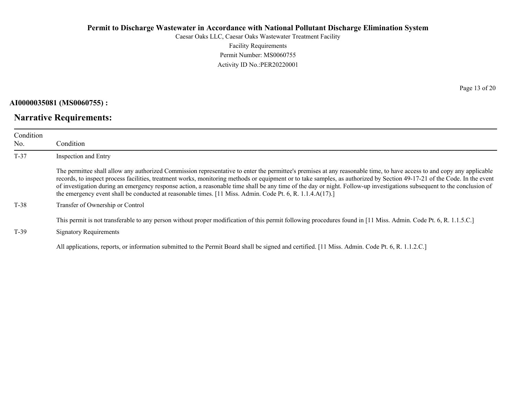Caesar Oaks LLC, Caesar Oaks Wastewater Treatment Facility Facility Requirements Permit Number: MS0060755 Activity ID No.:PER20220001

**AI0000035081 (MS0060755) :**

### **Narrative Requirements:**

Page 13 of 20

| Condition<br>No. | Condition                                                                                                                                                                                                                                                                                                                                                                                                                                                                                                                                                                                                                                  |  |  |
|------------------|--------------------------------------------------------------------------------------------------------------------------------------------------------------------------------------------------------------------------------------------------------------------------------------------------------------------------------------------------------------------------------------------------------------------------------------------------------------------------------------------------------------------------------------------------------------------------------------------------------------------------------------------|--|--|
| $T-37$           | Inspection and Entry                                                                                                                                                                                                                                                                                                                                                                                                                                                                                                                                                                                                                       |  |  |
|                  | The permittee shall allow any authorized Commission representative to enter the permittee's premises at any reasonable time, to have access to and copy any applicable<br>records, to inspect process facilities, treatment works, monitoring methods or equipment or to take samples, as authorized by Section 49-17-21 of the Code. In the event<br>of investigation during an emergency response action, a reasonable time shall be any time of the day or night. Follow-up investigations subsequent to the conclusion of<br>the emergency event shall be conducted at reasonable times. [11 Miss. Admin. Code Pt. 6, R. 1.1.4.A(17).] |  |  |
| $T-38$           | Transfer of Ownership or Control                                                                                                                                                                                                                                                                                                                                                                                                                                                                                                                                                                                                           |  |  |
| $T-39$           | This permit is not transferable to any person without proper modification of this permit following procedures found in [11 Miss. Admin. Code Pt. 6, R. 1.1.5.C.]<br><b>Signatory Requirements</b>                                                                                                                                                                                                                                                                                                                                                                                                                                          |  |  |
|                  | All applications, reports, or information submitted to the Permit Board shall be signed and certified. [11 Miss. Admin. Code Pt. 6, R. 1.1.2.C.]                                                                                                                                                                                                                                                                                                                                                                                                                                                                                           |  |  |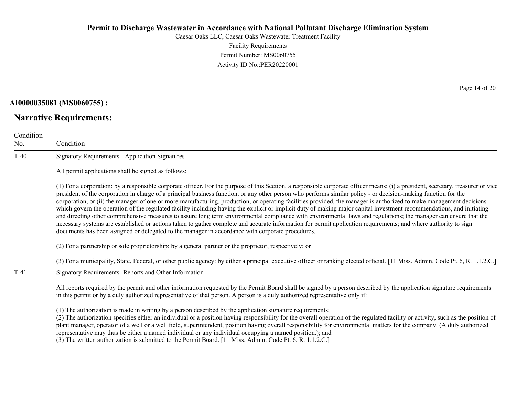Caesar Oaks LLC, Caesar Oaks Wastewater Treatment Facility Facility Requirements Permit Number: MS0060755 Activity ID No.:PER20220001

#### **AI0000035081 (MS0060755) :**

# **Narrative Requirements:**

Page 14 of 20

| Condition<br>No. | Condition                                                                                                                                                                                                                                                                                                                                                                                                                                                                                                                                                                                                                                                                                                                                                                                                                                                                                                                                                                                                                                                                                                                                      |  |  |
|------------------|------------------------------------------------------------------------------------------------------------------------------------------------------------------------------------------------------------------------------------------------------------------------------------------------------------------------------------------------------------------------------------------------------------------------------------------------------------------------------------------------------------------------------------------------------------------------------------------------------------------------------------------------------------------------------------------------------------------------------------------------------------------------------------------------------------------------------------------------------------------------------------------------------------------------------------------------------------------------------------------------------------------------------------------------------------------------------------------------------------------------------------------------|--|--|
| $T-40$           | <b>Signatory Requirements - Application Signatures</b>                                                                                                                                                                                                                                                                                                                                                                                                                                                                                                                                                                                                                                                                                                                                                                                                                                                                                                                                                                                                                                                                                         |  |  |
|                  | All permit applications shall be signed as follows:                                                                                                                                                                                                                                                                                                                                                                                                                                                                                                                                                                                                                                                                                                                                                                                                                                                                                                                                                                                                                                                                                            |  |  |
|                  | (1) For a corporation: by a responsible corporate officer. For the purpose of this Section, a responsible corporate officer means: (i) a president, secretary, treasurer or vice<br>president of the corporation in charge of a principal business function, or any other person who performs similar policy - or decision-making function for the<br>corporation, or (ii) the manager of one or more manufacturing, production, or operating facilities provided, the manager is authorized to make management decisions<br>which govern the operation of the regulated facility including having the explicit or implicit duty of making major capital investment recommendations, and initiating<br>and directing other comprehensive measures to assure long term environmental compliance with environmental laws and regulations; the manager can ensure that the<br>necessary systems are established or actions taken to gather complete and accurate information for permit application requirements; and where authority to sign<br>documents has been assigned or delegated to the manager in accordance with corporate procedures. |  |  |
|                  | (2) For a partnership or sole proprietorship: by a general partner or the proprietor, respectively; or                                                                                                                                                                                                                                                                                                                                                                                                                                                                                                                                                                                                                                                                                                                                                                                                                                                                                                                                                                                                                                         |  |  |
|                  | (3) For a municipality, State, Federal, or other public agency: by either a principal executive officer or ranking elected official. [11 Miss. Admin. Code Pt. 6, R. 1.1.2.C.]                                                                                                                                                                                                                                                                                                                                                                                                                                                                                                                                                                                                                                                                                                                                                                                                                                                                                                                                                                 |  |  |
| $T-41$           | Signatory Requirements - Reports and Other Information                                                                                                                                                                                                                                                                                                                                                                                                                                                                                                                                                                                                                                                                                                                                                                                                                                                                                                                                                                                                                                                                                         |  |  |
|                  | All reports required by the permit and other information requested by the Permit Board shall be signed by a person described by the application signature requirements<br>in this permit or by a duly authorized representative of that person. A person is a duly authorized representative only if:                                                                                                                                                                                                                                                                                                                                                                                                                                                                                                                                                                                                                                                                                                                                                                                                                                          |  |  |
|                  | (1) The authorization is made in writing by a person described by the application signature requirements;<br>(2) The authorization specifies either an individual or a position having responsibility for the overall operation of the regulated facility or activity, such as the position of<br>plant manager, operator of a well or a well field, superintendent, position having overall responsibility for environmental matters for the company. (A duly authorized<br>representative may thus be either a named individual or any individual occupying a named position.); and                                                                                                                                                                                                                                                                                                                                                                                                                                                                                                                                                          |  |  |

(3) The written authorization is submitted to the Permit Board. [11 Miss. Admin. Code Pt. 6, R. 1.1.2.C.]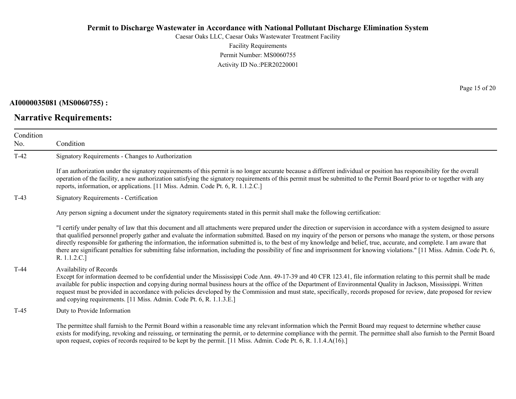Caesar Oaks LLC, Caesar Oaks Wastewater Treatment Facility Facility Requirements Permit Number: MS0060755 Activity ID No.:PER20220001

#### **AI0000035081 (MS0060755) :**

# **Narrative Requirements:**

Page 15 of 20

| Condition<br>No. | Condition                                                                                                                                                                                                                                                                                                                                                                                                                                                                                                                                                                                                                                                                                                                |
|------------------|--------------------------------------------------------------------------------------------------------------------------------------------------------------------------------------------------------------------------------------------------------------------------------------------------------------------------------------------------------------------------------------------------------------------------------------------------------------------------------------------------------------------------------------------------------------------------------------------------------------------------------------------------------------------------------------------------------------------------|
| $T-42$           | Signatory Requirements - Changes to Authorization                                                                                                                                                                                                                                                                                                                                                                                                                                                                                                                                                                                                                                                                        |
|                  | If an authorization under the signatory requirements of this permit is no longer accurate because a different individual or position has responsibility for the overall<br>operation of the facility, a new authorization satisfying the signatory requirements of this permit must be submitted to the Permit Board prior to or together with any<br>reports, information, or applications. [11 Miss. Admin. Code Pt. 6, R. 1.1.2.C.]                                                                                                                                                                                                                                                                                   |
| $T-43$           | <b>Signatory Requirements - Certification</b>                                                                                                                                                                                                                                                                                                                                                                                                                                                                                                                                                                                                                                                                            |
|                  | Any person signing a document under the signatory requirements stated in this permit shall make the following certification:                                                                                                                                                                                                                                                                                                                                                                                                                                                                                                                                                                                             |
|                  | "I certify under penalty of law that this document and all attachments were prepared under the direction or supervision in accordance with a system designed to assure<br>that qualified personnel properly gather and evaluate the information submitted. Based on my inquiry of the person or persons who manage the system, or those persons<br>directly responsible for gathering the information, the information submitted is, to the best of my knowledge and belief, true, accurate, and complete. I am aware that<br>there are significant penalties for submitting false information, including the possibility of fine and imprisonment for knowing violations." [11 Miss. Admin. Code Pt. 6,<br>R. 1.1.2.C.] |
| $T-44$           | Availability of Records<br>Except for information deemed to be confidential under the Mississippi Code Ann. 49-17-39 and 40 CFR 123.41, file information relating to this permit shall be made<br>available for public inspection and copying during normal business hours at the office of the Department of Environmental Quality in Jackson, Mississippi. Written<br>request must be provided in accordance with policies developed by the Commission and must state, specifically, records proposed for review, date proposed for review<br>and copying requirements. [11 Miss. Admin. Code Pt. 6, R. 1.1.3.E.]                                                                                                      |
| $T-45$           | Duty to Provide Information                                                                                                                                                                                                                                                                                                                                                                                                                                                                                                                                                                                                                                                                                              |
|                  | The permittee shall furnish to the Permit Board within a reasonable time any relevant information which the Permit Board may request to determine whether cause<br>exists for modifying, revoking and reissuing, or terminating the permit, or to determine compliance with the permit. The permittee shall also furnish to the Permit Board<br>upon request, copies of records required to be kept by the permit. [11 Miss. Admin. Code Pt. 6, R. 1.1.4.A(16).]                                                                                                                                                                                                                                                         |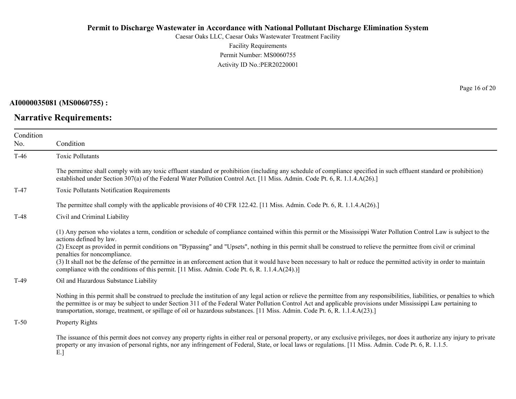Caesar Oaks LLC, Caesar Oaks Wastewater Treatment Facility Facility Requirements Permit Number: MS0060755 Activity ID No.:PER20220001

**AI0000035081 (MS0060755) :**

**Narrative Requirements:**

Page 16 of 20

| Condition<br>No. | Condition                                                                                                                                                                                                                                                                                                                                                                                                                                                                                                                                                                                                                                                                            |
|------------------|--------------------------------------------------------------------------------------------------------------------------------------------------------------------------------------------------------------------------------------------------------------------------------------------------------------------------------------------------------------------------------------------------------------------------------------------------------------------------------------------------------------------------------------------------------------------------------------------------------------------------------------------------------------------------------------|
| $T-46$           | <b>Toxic Pollutants</b>                                                                                                                                                                                                                                                                                                                                                                                                                                                                                                                                                                                                                                                              |
|                  | The permittee shall comply with any toxic effluent standard or prohibition (including any schedule of compliance specified in such effluent standard or prohibition)<br>established under Section 307(a) of the Federal Water Pollution Control Act. [11 Miss. Admin. Code Pt. 6, R. 1.1.4.A(26).]                                                                                                                                                                                                                                                                                                                                                                                   |
| $T-47$           | Toxic Pollutants Notification Requirements                                                                                                                                                                                                                                                                                                                                                                                                                                                                                                                                                                                                                                           |
|                  | The permittee shall comply with the applicable provisions of 40 CFR 122.42. [11 Miss. Admin. Code Pt. 6, R. 1.1.4.A(26).]                                                                                                                                                                                                                                                                                                                                                                                                                                                                                                                                                            |
| $T-48$           | Civil and Criminal Liability                                                                                                                                                                                                                                                                                                                                                                                                                                                                                                                                                                                                                                                         |
|                  | (1) Any person who violates a term, condition or schedule of compliance contained within this permit or the Mississippi Water Pollution Control Law is subject to the<br>actions defined by law.<br>(2) Except as provided in permit conditions on "Bypassing" and "Upsets", nothing in this permit shall be construed to relieve the permittee from civil or criminal<br>penalties for noncompliance.<br>(3) It shall not be the defense of the permittee in an enforcement action that it would have been necessary to halt or reduce the permitted activity in order to maintain<br>compliance with the conditions of this permit. [11 Miss. Admin. Code Pt. 6, R. 1.1.4.A(24).)] |
| $T-49$           | Oil and Hazardous Substance Liability                                                                                                                                                                                                                                                                                                                                                                                                                                                                                                                                                                                                                                                |
|                  | Nothing in this permit shall be construed to preclude the institution of any legal action or relieve the permittee from any responsibilities, liabilities, or penalties to which<br>the permittee is or may be subject to under Section 311 of the Federal Water Pollution Control Act and applicable provisions under Mississippi Law pertaining to<br>transportation, storage, treatment, or spillage of oil or hazardous substances. [11 Miss. Admin. Code Pt. 6, R. 1.1.4.A(23).]                                                                                                                                                                                                |
| $T-50$           | Property Rights                                                                                                                                                                                                                                                                                                                                                                                                                                                                                                                                                                                                                                                                      |
|                  | The issuance of this permit does not convey any property rights in either real or personal property, or any exclusive privileges, nor does it authorize any injury to private<br>property or any invasion of personal rights, nor any infringement of Federal, State, or local laws or regulations. [11 Miss. Admin. Code Pt. 6, R. 1.1.5.<br><b>DI</b>                                                                                                                                                                                                                                                                                                                              |

E.]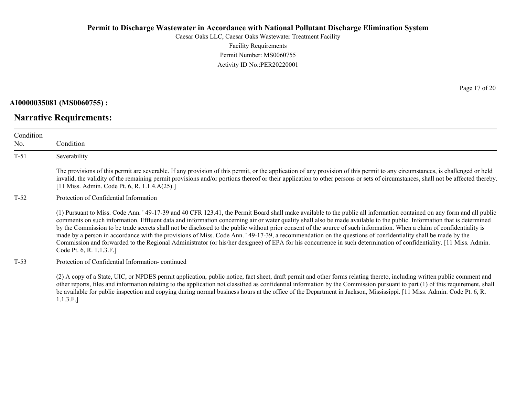Caesar Oaks LLC, Caesar Oaks Wastewater Treatment Facility Facility Requirements Permit Number: MS0060755 Activity ID No.:PER20220001

**AI0000035081 (MS0060755) :**

**Narrative Requirements:**

Condition No. Condition T-51 Severability The provisions of this permit are severable. If any provision of this permit, or the application of any provision of this permit to any circumstances, is challenged or held invalid, the validity of the remaining permit provisions and/or portions thereof or their application to other persons or sets of circumstances, shall not be affected thereby. [11 Miss. Admin. Code Pt. 6, R. 1.1.4.A(25).] T-52 Protection of Confidential Information (1) Pursuant to Miss. Code Ann. ' 49-17-39 and 40 CFR 123.41, the Permit Board shall make available to the public all information contained on any form and all public comments on such information. Effluent data and information concerning air or water quality shall also be made available to the public. Information that is determined by the Commission to be trade secrets shall not be disclosed to the public without prior consent of the source of such information. When a claim of confidentiality is made by a person in accordance with the provisions of Miss. Code Ann. ' 49-17-39, a recommendation on the questions of confidentiality shall be made by the Commission and forwarded to the Regional Administrator (or his/her designee) of EPA for his concurrence in such determination of confidentiality. [11 Miss. Admin. Code Pt. 6, R. 1.1.3.F.] T-53 Protection of Confidential Information- continued

(2) A copy of a State, UIC, or NPDES permit application, public notice, fact sheet, draft permit and other forms relating thereto, including written public comment and other reports, files and information relating to the application not classified as confidential information by the Commission pursuant to part (1) of this requirement, shall be available for public inspection and copying during normal business hours at the office of the Department in Jackson, Mississippi. [11 Miss. Admin. Code Pt. 6, R. 1.1.3.F.]

Page 17 of 20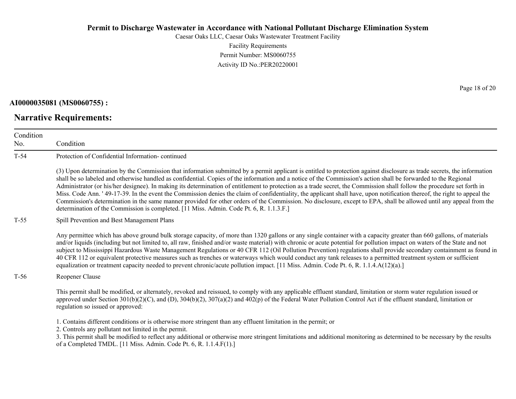Caesar Oaks LLC, Caesar Oaks Wastewater Treatment Facility Facility Requirements Permit Number: MS0060755 Activity ID No.:PER20220001

**AI0000035081 (MS0060755) :**

No.

**Narrative Requirements:**

Condition Condition T-54 Protection of Confidential Information- continued (3) Upon determination by the Commission that information submitted by a permit applicant is entitled to protection against disclosure as trade secrets, the information shall be so labeled and otherwise handled as confidential. Copies of the information and a notice of the Commission's action shall be forwarded to the Regional Administrator (or his/her designee). In making its determination of entitlement to protection as a trade secret, the Commission shall follow the procedure set forth in Miss. Code Ann. ' 49-17-39. In the event the Commission denies the claim of confidentiality, the applicant shall have, upon notification thereof, the right to appeal the Commission's determination in the same manner provided for other orders of the Commission. No disclosure, except to EPA, shall be allowed until any appeal from the determination of the Commission is completed. [11 Miss. Admin. Code Pt. 6, R. 1.1.3.F.] T-55 Spill Prevention and Best Management Plans Any permittee which has above ground bulk storage capacity, of more than 1320 gallons or any single container with a capacity greater than 660 gallons, of materials and/or liquids (including but not limited to, all raw, finished and/or waste material) with chronic or acute potential for pollution impact on waters of the State and not subject to Mississippi Hazardous Waste Management Regulations or 40 CFR 112 (Oil Pollution Prevention) regulations shall provide secondary containment as found in 40 CFR 112 or equivalent protective measures such as trenches or waterways which would conduct any tank releases to a permitted treatment system or sufficient equalization or treatment capacity needed to prevent chronic/acute pollution impact. [11 Miss. Admin. Code Pt. 6, R. 1.1.4.A(12)(a).] T-56 Reopener Clause This permit shall be modified, or alternately, revoked and reissued, to comply with any applicable effluent standard, limitation or storm water regulation issued or approved under Section  $301(b)(2)(C)$ , and  $(D)$ ,  $304(b)(2)$ ,  $307(a)(2)$  and  $402(p)$  of the Federal Water Pollution Control Act if the effluent standard, limitation or regulation so issued or approved: 1. Contains different conditions or is otherwise more stringent than any effluent limitation in the permit; or 2. Controls any pollutant not limited in the permit. 3. This permit shall be modified to reflect any additional or otherwise more stringent limitations and additional monitoring as determined to be necessary by the results of a Completed TMDL. [11 Miss. Admin. Code Pt. 6, R. 1.1.4.F(1).]

Page 18 of 20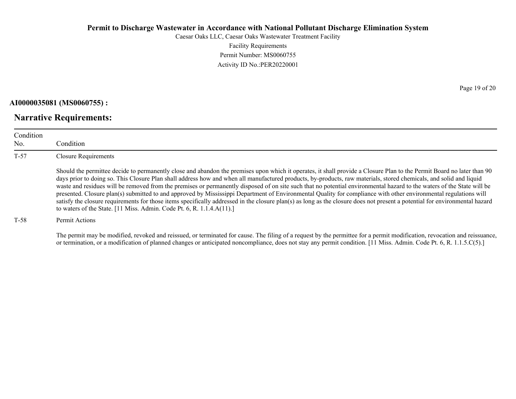Caesar Oaks LLC, Caesar Oaks Wastewater Treatment Facility Facility Requirements Permit Number: MS0060755 Activity ID No.:PER20220001

**AI0000035081 (MS0060755) :**

**Narrative Requirements:**

Condition No. Condition T-57 Closure Requirements Should the permittee decide to permanently close and abandon the premises upon which it operates, it shall provide a Closure Plan to the Permit Board no later than 90 days prior to doing so. This Closure Plan shall address how and when all manufactured products, by-products, raw materials, stored chemicals, and solid and liquid waste and residues will be removed from the premises or permanently disposed of on site such that no potential environmental hazard to the waters of the State will be presented. Closure plan(s) submitted to and approved by Mississippi Department of Environmental Quality for compliance with other environmental regulations will satisfy the closure requirements for those items specifically addressed in the closure plan(s) as long as the closure does not present a potential for environmental hazard to waters of the State. [11 Miss. Admin. Code Pt. 6, R. 1.1.4.A(11).]

T-58 Permit Actions

The permit may be modified, revoked and reissued, or terminated for cause. The filing of a request by the permittee for a permit modification, revocation and reissuance, or termination, or a modification of planned changes or anticipated noncompliance, does not stay any permit condition. [11 Miss. Admin. Code Pt. 6, R. 1.1.5.C(5).]

Page 19 of 20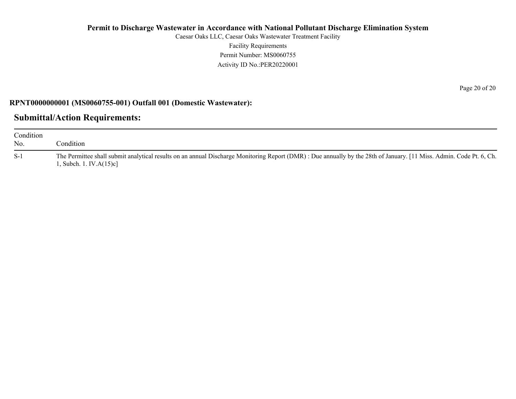Caesar Oaks LLC, Caesar Oaks Wastewater Treatment Facility Facility Requirements Permit Number: MS0060755 Activity ID No.:PER20220001

#### **RPNT0000000001 (MS0060755-001) Outfall 001 (Domestic Wastewater):**

### **Submittal/Action Requirements:**

| Condition<br>No. | condition.                                                                                                                                                                                     |
|------------------|------------------------------------------------------------------------------------------------------------------------------------------------------------------------------------------------|
| $S-1$            | The Permittee shall submit analytical results on an annual Discharge Monitoring Report (DMR): Due annually by the 28th of January. [11 Miss. Admin. Code Pt. 6, Ch.<br>1, Subch. 1. IV.A(15)c] |

Page 20 of 20